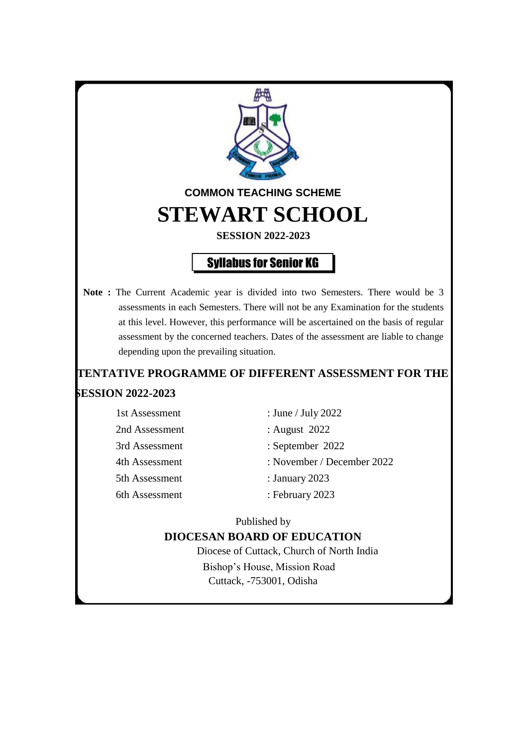

## **TENTATIVE PROGRAMME OF DIFFERENT ASSESSMENT FOR THE SESSION 2022-2023**

| 1st Assessment | : June / July 2022         |
|----------------|----------------------------|
| 2nd Assessment | : August 2022              |
| 3rd Assessment | : September 2022           |
| 4th Assessment | : November / December 2022 |
| 5th Assessment | : January $2023$           |
| 6th Assessment | : February 2023            |

Published by

#### **DIOCESAN BOARD OF EDUCATION**

Diocese of Cuttack, Church of North India Bishop's House, Mission Road Cuttack, -753001, Odisha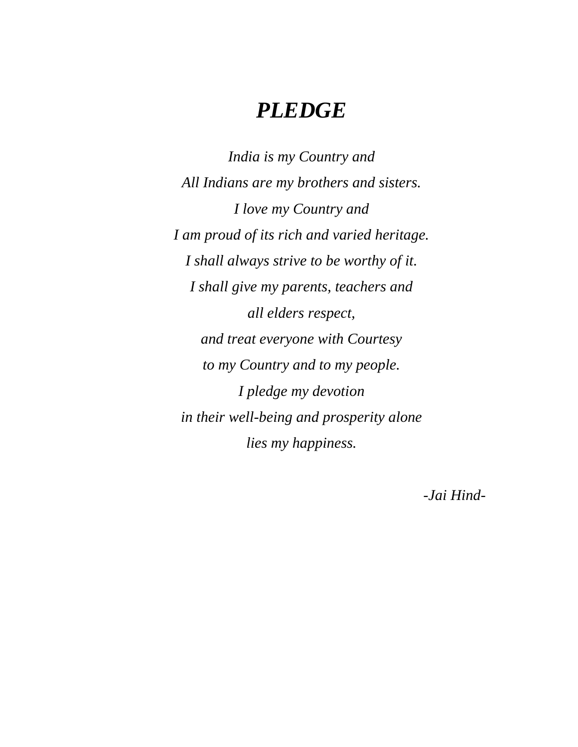# *PLEDGE*

*India is my Country and All Indians are my brothers and sisters. I love my Country and I am proud of its rich and varied heritage. I shall always strive to be worthy of it. I shall give my parents, teachers and all elders respect, and treat everyone with Courtesy to my Country and to my people. I pledge my devotion in their well-being and prosperity alone lies my happiness.*

*-Jai Hind-*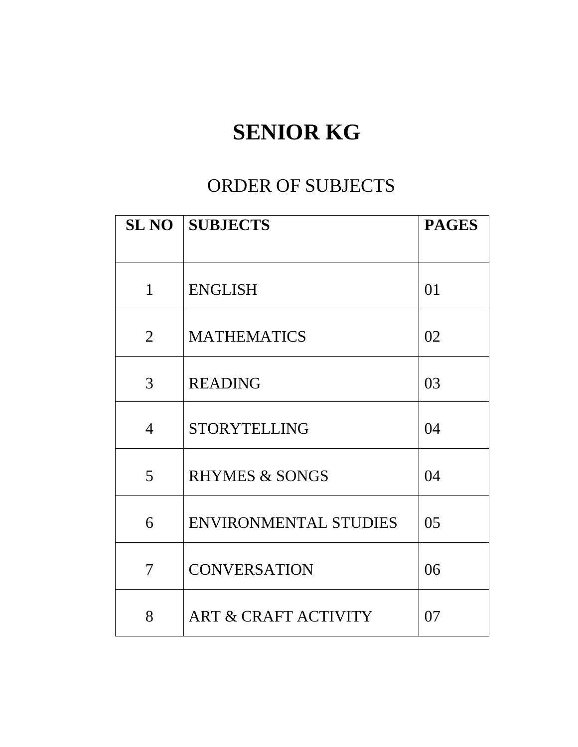# **SENIOR KG**

# ORDER OF SUBJECTS

|                | <b>SL NO SUBJECTS</b>           | <b>PAGES</b> |
|----------------|---------------------------------|--------------|
|                |                                 |              |
| $\mathbf{1}$   | <b>ENGLISH</b>                  | 01           |
| $\overline{2}$ | <b>MATHEMATICS</b>              | 02           |
| 3              | <b>READING</b>                  | 03           |
| $\overline{4}$ | <b>STORYTELLING</b>             | 04           |
| 5              | <b>RHYMES &amp; SONGS</b>       | 04           |
| 6              | <b>ENVIRONMENTAL STUDIES</b>    | 05           |
| 7              | <b>CONVERSATION</b>             | 06           |
| 8              | <b>ART &amp; CRAFT ACTIVITY</b> | 07           |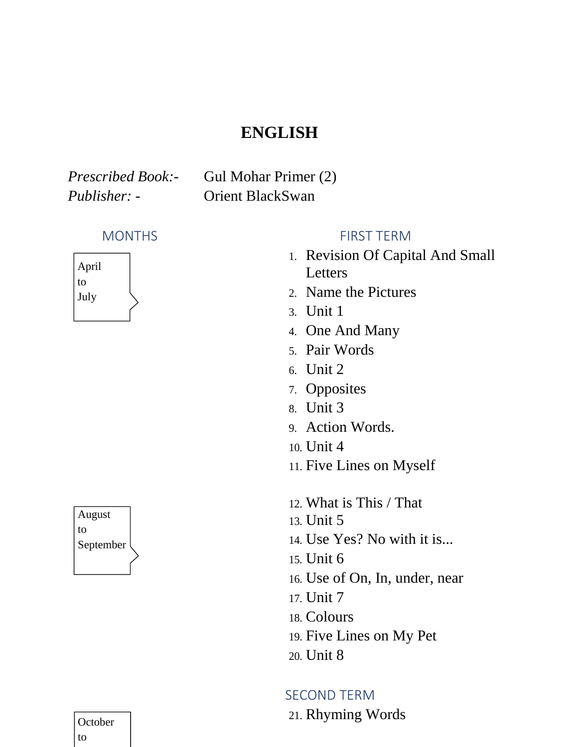# **ENGLISH**

*Prescribed Book:-* Gul Mohar Primer (2) *Publisher: -* Orient BlackSwan



August to September

# **October** to

### MONTHS FIRST TERM

- 1. Revision Of Capital And Small Letters
- 2. Name the Pictures
- 3. Unit 1
- 4. One And Many
- 5. Pair Words
- 6. Unit 2
- 7. Opposites
- 8. Unit 3
- 9. Action Words.
- 10. Unit 4
- 11. Five Lines on Myself
- 12. What is This / That
- 13. Unit 5
- 14. Use Yes? No with it is...
- 15. Unit 6
- 16. Use of On, In, under, near
- 17. Unit 7
- 18. Colours
- 19. Five Lines on My Pet
- 20. Unit 8

### SECOND TERM

21. Rhyming Words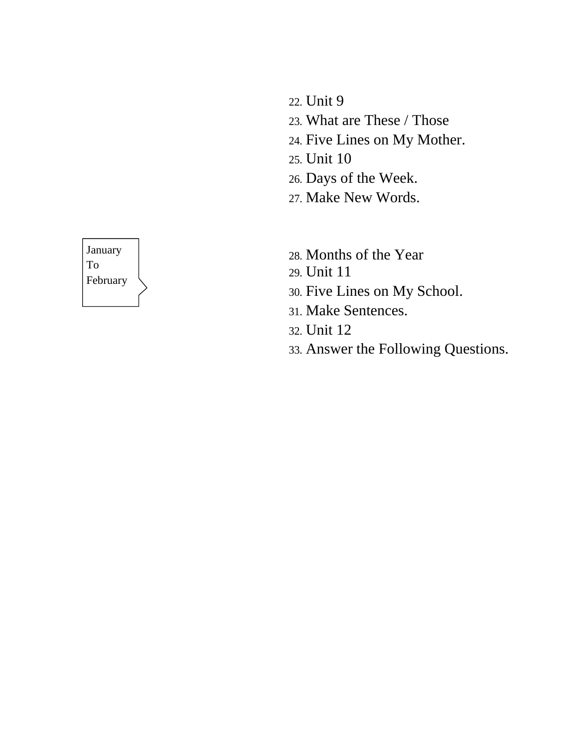- 22. Unit 9
- 23. What are These / Those
- 24. Five Lines on My Mother.
- 25. Unit 10
- 26. Days of the Week.
- 27. Make New Words.
- 28. Months of the Year
- 29. Unit 11
- 30. Five Lines on My School.
- 31. Make Sentences.
- 32. Unit 12
- 33. Answer the Following Questions.

# January To February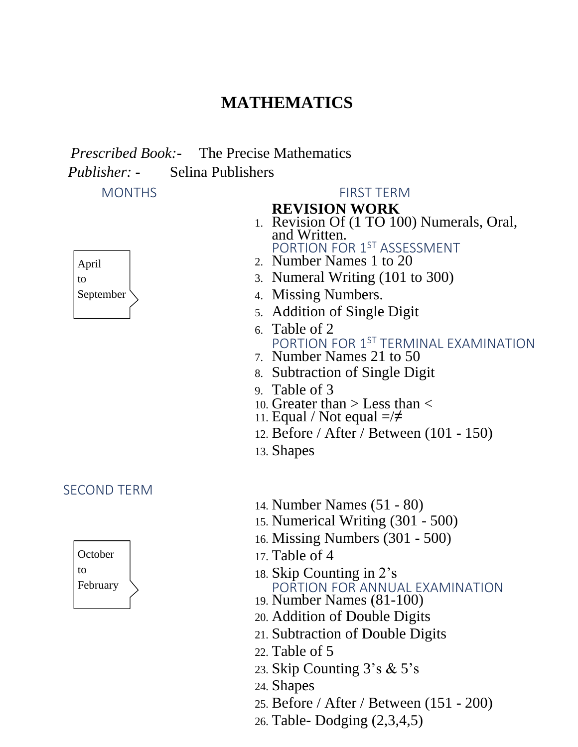# **MATHEMATICS**

 *Prescribed Book:-* The Precise Mathematics

*Publisher: -* Selina Publishers



### SECOND TERM



#### MONTHS FIRST TERM

### **REVISION WORK**

- 1. Revision Of (1 TO 100) Numerals, Oral, and Written. PORTION FOR 1<sup>ST</sup> ASSESSMENT
- 2. Number Names 1 to 20
- 3. Numeral Writing (101 to 300)
- 4. Missing Numbers.
- 5. Addition of Single Digit
- 6. Table of 2 PORTION FOR 1<sup>ST</sup> TERMINAL EXAMINATION
- 7. Number Names 21 to 50
- 8. Subtraction of Single Digit
- 9. Table of 3
- 10. Greater than > Less than <
- 11. Equal / Not equal  $=\neq$
- 12. Before / After / Between (101 150)
- 13. Shapes
- 14. Number Names (51 80)
- 15. Numerical Writing (301 500)
- 16. Missing Numbers (301 500)
- 17. Table of 4
- 18. Skip Counting in 2's PORTION FOR ANNUAL EXAMINATION
- 19. Number Names (81-100)
- 20. Addition of Double Digits
- 21. Subtraction of Double Digits
- 22. Table of 5
- 23. Skip Counting 3's & 5's
- 24. Shapes
- 25. Before / After / Between (151 200)
- 26. Table- Dodging (2,3,4,5)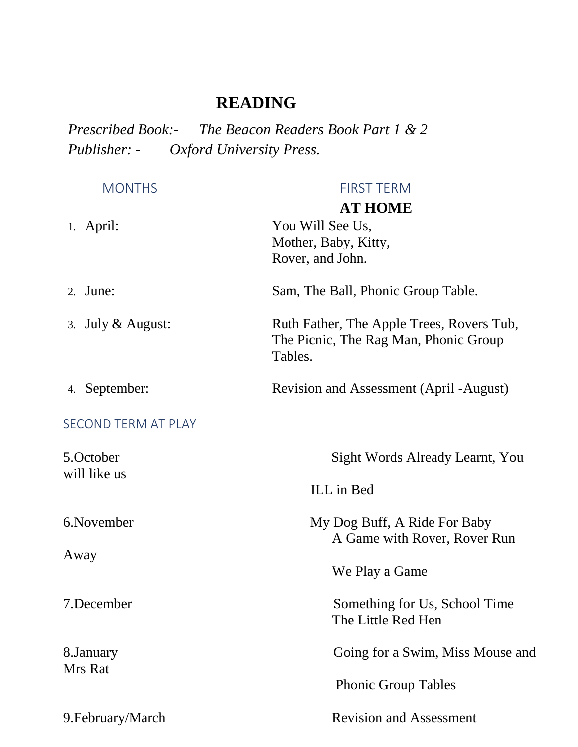# **READING**

*Prescribed Book:- The Beacon Readers Book Part 1 & 2 Publisher: - Oxford University Press.*

| <b>MONTHS</b>              | <b>FIRST TERM</b><br><b>AT HOME</b>                                                           |
|----------------------------|-----------------------------------------------------------------------------------------------|
| 1. April:                  | You Will See Us,<br>Mother, Baby, Kitty,<br>Rover, and John.                                  |
| 2. June:                   | Sam, The Ball, Phonic Group Table.                                                            |
| 3. July $&$ August:        | Ruth Father, The Apple Trees, Rovers Tub,<br>The Picnic, The Rag Man, Phonic Group<br>Tables. |
| 4. September:              | <b>Revision and Assessment (April -August)</b>                                                |
| <b>SECOND TERM AT PLAY</b> |                                                                                               |
| 5.October<br>will like us  | Sight Words Already Learnt, You                                                               |
|                            | ILL in Bed                                                                                    |
| 6. November                | My Dog Buff, A Ride For Baby<br>A Game with Rover, Rover Run                                  |
| Away                       | We Play a Game                                                                                |
| 7.December                 | Something for Us, School Time<br>The Little Red Hen                                           |
| 8.January<br>Mrs Rat       | Going for a Swim, Miss Mouse and                                                              |
|                            | <b>Phonic Group Tables</b>                                                                    |
| 9. February/March          | <b>Revision and Assessment</b>                                                                |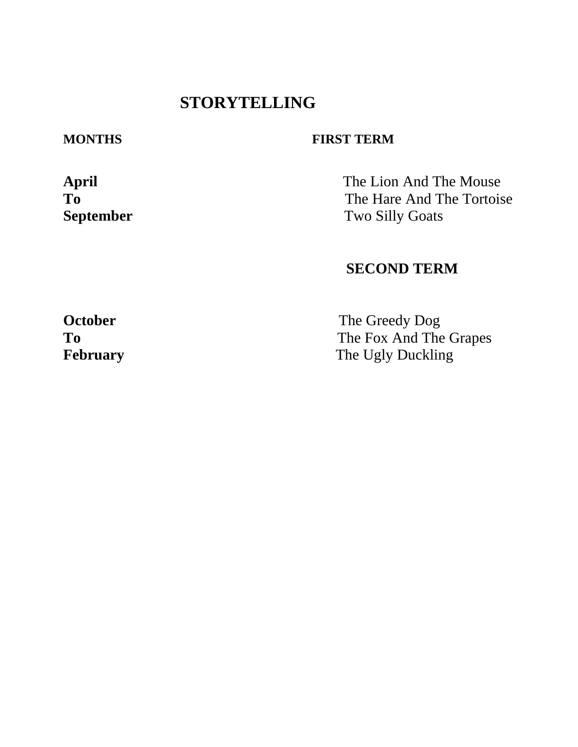# **STORYTELLING**

### **MONTHS FIRST TERM**

**April** The Lion And The Mouse **To** The Hare And The Tortoise **September** Two Silly Goats

## **SECOND TERM**

**October** The Greedy Dog To The Fox And The Grapes **February** The Ugly Duckling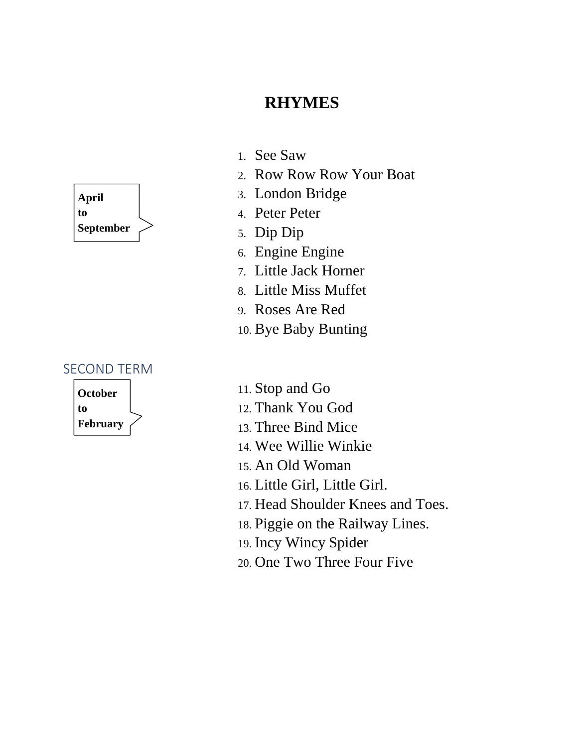# **RHYMES**



#### SECOND TERM



- 1. See Saw
- 2. Row Row Row Your Boat
- 3. London Bridge
- 4. Peter Peter
- 5. Dip Dip
- 6. Engine Engine
- 7. Little Jack Horner
- 8. Little Miss Muffet
- 9. Roses Are Red
- 10. Bye Baby Bunting
- 11. Stop and Go
- 12. Thank You God
- 13. Three Bind Mice
- 14. Wee Willie Winkie
- 15. An Old Woman
- 16. Little Girl, Little Girl.
- 17. Head Shoulder Knees and Toes.
- 18. Piggie on the Railway Lines.
- 19. Incy Wincy Spider
- 20. One Two Three Four Five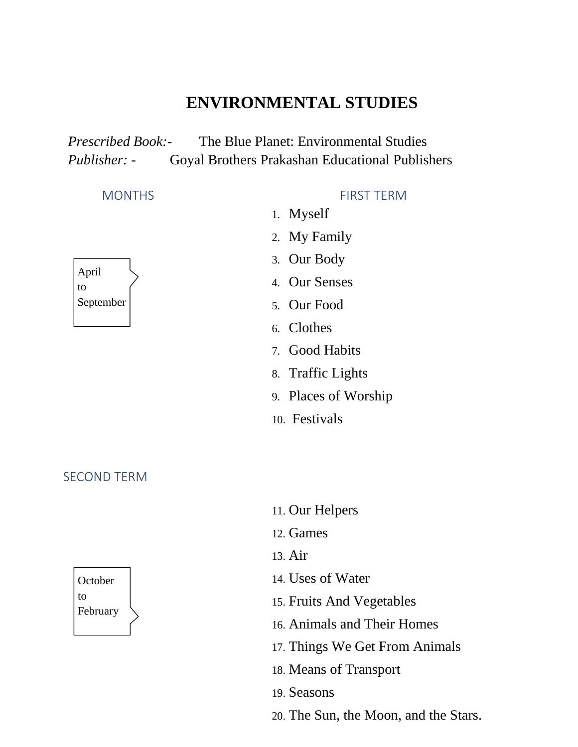# **ENVIRONMENTAL STUDIES**

*Prescribed Book:-* The Blue Planet: Environmental Studies *Publisher: -* Goyal Brothers Prakashan Educational Publishers

April to September

#### SECOND TERM



#### MONTHS FIRST TERM

- 1. Myself
- 2. My Family
- 3. Our Body
- 4. Our Senses
- 5. Our Food
- 6. Clothes
- 7. Good Habits
- 8. Traffic Lights
- 9. Places of Worship
- 10. Festivals

- 11. Our Helpers 12. Games 13. Air 14. Uses of Water 15. Fruits And Vegetables 16. Animals and Their Homes 17. Things We Get From Animals 18. Means of Transport 19. Seasons
- 20. The Sun, the Moon, and the Stars.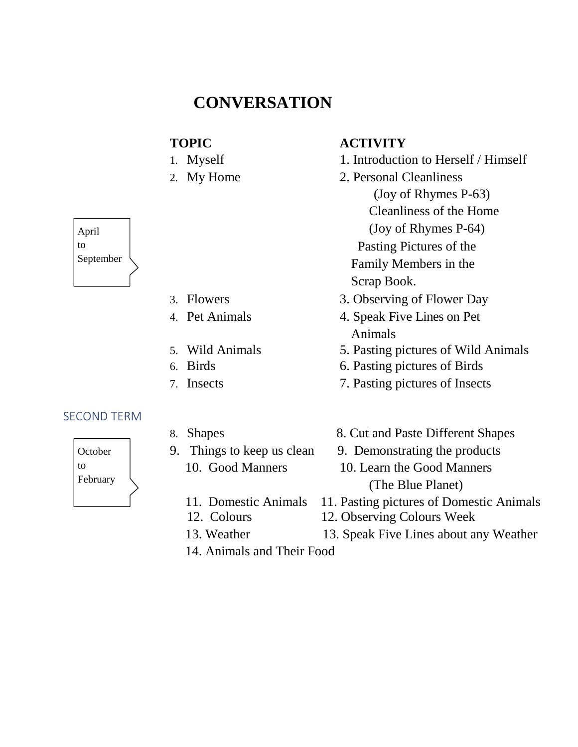# **CONVERSATION**

- 
- 

| April     |  |
|-----------|--|
| to        |  |
| September |  |
|           |  |
|           |  |

┑

г

- 
- 
- 
- 
- 

#### SECOND TERM



- 
- -
	-
	-
	- 14. Animals and Their Food

### **TOPIC ACTIVITY**

- 1. Myself 1. Introduction to Herself / Himself
- 2. My Home 2. Personal Cleanliness (Joy of Rhymes P-63) Cleanliness of the Home (Joy of Rhymes P-64) Pasting Pictures of the Family Members in the Scrap Book.
- 3. Flowers 3. Observing of Flower Day
- 4. Pet Animals 4. Speak Five Lines on Pet Animals
- 5. Wild Animals 5. Pasting pictures of Wild Animals
- 6. Birds 6. Pasting pictures of Birds
- 7. Insects 7. Pasting pictures of Insects
- 8. Shapes 8. Cut and Paste Different Shapes
- 9. Things to keep us clean 9. Demonstrating the products
	- 10. Good Manners 10. Learn the Good Manners (The Blue Planet)
	- 11. Domestic Animals 11. Pasting pictures of Domestic Animals
	- 12. Colours 12. Observing Colours Week
	- 13. Weather 13. Speak Five Lines about any Weather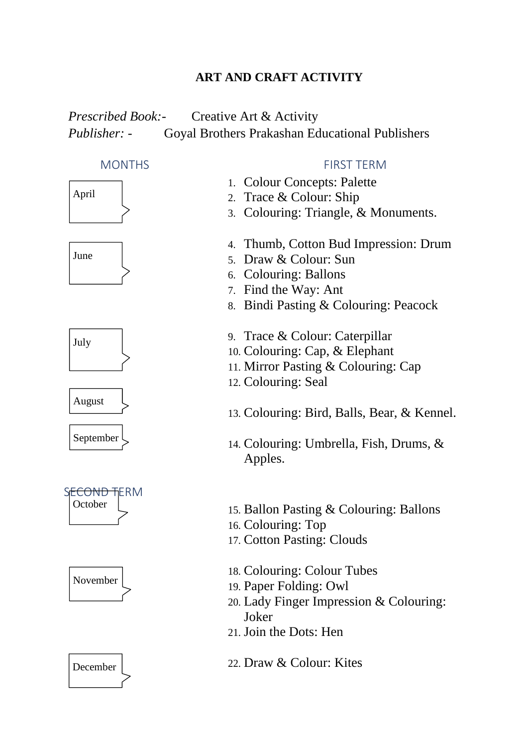### **ART AND CRAFT ACTIVITY**

# *Prescribed Book:-* Creative Art & Activity *Publisher: -* Goyal Brothers Prakashan Educational Publishers













#### MONTHS FIRST TERM

- 1. Colour Concepts: Palette
- 2. Trace & Colour: Ship
- 3. Colouring: Triangle, & Monuments.
- 4. Thumb, Cotton Bud Impression: Drum
- 5. Draw & Colour: Sun
- 6. Colouring: Ballons
- 7. Find the Way: Ant
- 8. Bindi Pasting & Colouring: Peacock
- 9. Trace & Colour: Caterpillar
- 10. Colouring: Cap, & Elephant
- 11. Mirror Pasting & Colouring: Cap
- 12. Colouring: Seal
- 13. Colouring: Bird, Balls, Bear, & Kennel.
- 14. Colouring: Umbrella, Fish, Drums, & Apples.
- 15. Ballon Pasting & Colouring: Ballons
- 16. Colouring: Top
- 17. Cotton Pasting: Clouds
- 18. Colouring: Colour Tubes
- 19. Paper Folding: Owl
- 20. Lady Finger Impression & Colouring: Joker
- 21. Join the Dots: Hen
- 22. Draw & Colour: Kites